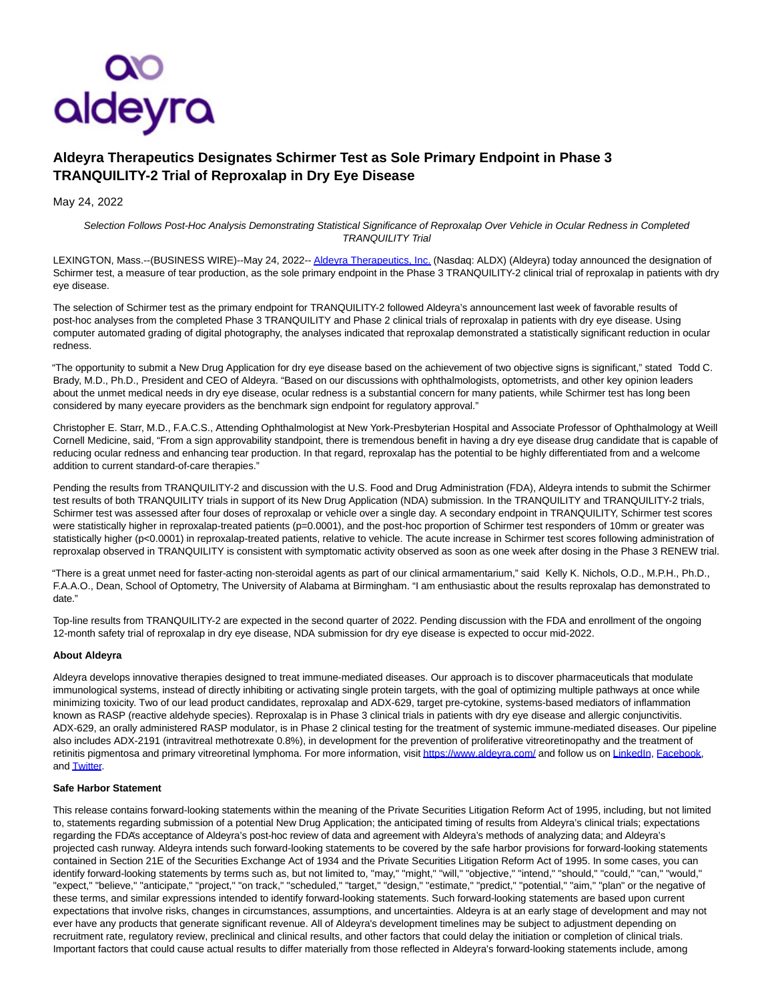

## **Aldeyra Therapeutics Designates Schirmer Test as Sole Primary Endpoint in Phase 3 TRANQUILITY-2 Trial of Reproxalap in Dry Eye Disease**

May 24, 2022

Selection Follows Post-Hoc Analysis Demonstrating Statistical Significance of Reproxalap Over Vehicle in Ocular Redness in Completed TRANQUILITY Trial

LEXINGTON, Mass.--(BUSINESS WIRE)--May 24, 2022-[- Aldeyra Therapeutics, Inc. \(](https://cts.businesswire.com/ct/CT?id=smartlink&url=https%3A%2F%2Fwww.aldeyra.com%2F&esheet=52728800&newsitemid=20220523006043&lan=en-US&anchor=Aldeyra+Therapeutics%2C+Inc.&index=1&md5=5c5be480961eb81fe5849583d72957a4)Nasdaq: ALDX) (Aldeyra) today announced the designation of Schirmer test, a measure of tear production, as the sole primary endpoint in the Phase 3 TRANQUILITY-2 clinical trial of reproxalap in patients with dry eye disease.

The selection of Schirmer test as the primary endpoint for TRANQUILITY-2 followed Aldeyra's announcement last week of favorable results of post-hoc analyses from the completed Phase 3 TRANQUILITY and Phase 2 clinical trials of reproxalap in patients with dry eye disease. Using computer automated grading of digital photography, the analyses indicated that reproxalap demonstrated a statistically significant reduction in ocular redness

"The opportunity to submit a New Drug Application for dry eye disease based on the achievement of two objective signs is significant," stated Todd C. Brady, M.D., Ph.D., President and CEO of Aldeyra. "Based on our discussions with ophthalmologists, optometrists, and other key opinion leaders about the unmet medical needs in dry eye disease, ocular redness is a substantial concern for many patients, while Schirmer test has long been considered by many eyecare providers as the benchmark sign endpoint for regulatory approval."

Christopher E. Starr, M.D., F.A.C.S., Attending Ophthalmologist at New York-Presbyterian Hospital and Associate Professor of Ophthalmology at Weill Cornell Medicine, said, "From a sign approvability standpoint, there is tremendous benefit in having a dry eye disease drug candidate that is capable of reducing ocular redness and enhancing tear production. In that regard, reproxalap has the potential to be highly differentiated from and a welcome addition to current standard-of-care therapies."

Pending the results from TRANQUILITY-2 and discussion with the U.S. Food and Drug Administration (FDA), Aldeyra intends to submit the Schirmer test results of both TRANQUILITY trials in support of its New Drug Application (NDA) submission. In the TRANQUILITY and TRANQUILITY-2 trials, Schirmer test was assessed after four doses of reproxalap or vehicle over a single day. A secondary endpoint in TRANQUILITY, Schirmer test scores were statistically higher in reproxalap-treated patients (p=0.0001), and the post-hoc proportion of Schirmer test responders of 10mm or greater was statistically higher (p<0.0001) in reproxalap-treated patients, relative to vehicle. The acute increase in Schirmer test scores following administration of reproxalap observed in TRANQUILITY is consistent with symptomatic activity observed as soon as one week after dosing in the Phase 3 RENEW trial.

"There is a great unmet need for faster-acting non-steroidal agents as part of our clinical armamentarium," said Kelly K. Nichols, O.D., M.P.H., Ph.D., F.A.A.O., Dean, School of Optometry, The University of Alabama at Birmingham. "I am enthusiastic about the results reproxalap has demonstrated to date."

Top-line results from TRANQUILITY-2 are expected in the second quarter of 2022. Pending discussion with the FDA and enrollment of the ongoing 12-month safety trial of reproxalap in dry eye disease, NDA submission for dry eye disease is expected to occur mid-2022.

## **About Aldeyra**

Aldeyra develops innovative therapies designed to treat immune-mediated diseases. Our approach is to discover pharmaceuticals that modulate immunological systems, instead of directly inhibiting or activating single protein targets, with the goal of optimizing multiple pathways at once while minimizing toxicity. Two of our lead product candidates, reproxalap and ADX-629, target pre-cytokine, systems-based mediators of inflammation known as RASP (reactive aldehyde species). Reproxalap is in Phase 3 clinical trials in patients with dry eye disease and allergic conjunctivitis. ADX-629, an orally administered RASP modulator, is in Phase 2 clinical testing for the treatment of systemic immune-mediated diseases. Our pipeline also includes ADX-2191 (intravitreal methotrexate 0.8%), in development for the prevention of proliferative vitreoretinopathy and the treatment of retinitis pigmentosa and primary vitreoretinal lymphoma. For more information, visi[t https://www.aldeyra.com/ a](https://cts.businesswire.com/ct/CT?id=smartlink&url=https%3A%2F%2Fwww.aldeyra.com%2F&esheet=52728800&newsitemid=20220523006043&lan=en-US&anchor=https%3A%2F%2Fwww.aldeyra.com%2F&index=2&md5=a458b7911919c5e3cf905153ba218c4c)nd follow us o[n LinkedIn,](https://cts.businesswire.com/ct/CT?id=smartlink&url=https%3A%2F%2Fwww.linkedin.com%2Fcompany%2F25175889&esheet=52728800&newsitemid=20220523006043&lan=en-US&anchor=LinkedIn&index=3&md5=1152a431b2a37a5c517f5e27181835ab) [Facebook,](https://cts.businesswire.com/ct/CT?id=smartlink&url=https%3A%2F%2Fwww.facebook.com%2Faldeyratherapeutics&esheet=52728800&newsitemid=20220523006043&lan=en-US&anchor=Facebook&index=4&md5=9dcdb5e77c32ad7bf1c2990b89ebf725) and **Twitter**.

## **Safe Harbor Statement**

This release contains forward-looking statements within the meaning of the Private Securities Litigation Reform Act of 1995, including, but not limited to, statements regarding submission of a potential New Drug Application; the anticipated timing of results from Aldeyra's clinical trials; expectations regarding the FDA's acceptance of Aldeyra's post-hoc review of data and agreement with Aldeyra's methods of analyzing data; and Aldeyra's projected cash runway. Aldeyra intends such forward-looking statements to be covered by the safe harbor provisions for forward-looking statements contained in Section 21E of the Securities Exchange Act of 1934 and the Private Securities Litigation Reform Act of 1995. In some cases, you can identify forward-looking statements by terms such as, but not limited to, "may," "might," "will," "objective," "intend," "should," "could," "can," "would," "expect," "believe," "anticipate," "project," "on track," "scheduled," "target," "design," "estimate," "predict," "potential," "aim," "plan" or the negative of these terms, and similar expressions intended to identify forward-looking statements. Such forward-looking statements are based upon current expectations that involve risks, changes in circumstances, assumptions, and uncertainties. Aldeyra is at an early stage of development and may not ever have any products that generate significant revenue. All of Aldeyra's development timelines may be subject to adjustment depending on recruitment rate, regulatory review, preclinical and clinical results, and other factors that could delay the initiation or completion of clinical trials. Important factors that could cause actual results to differ materially from those reflected in Aldeyra's forward-looking statements include, among